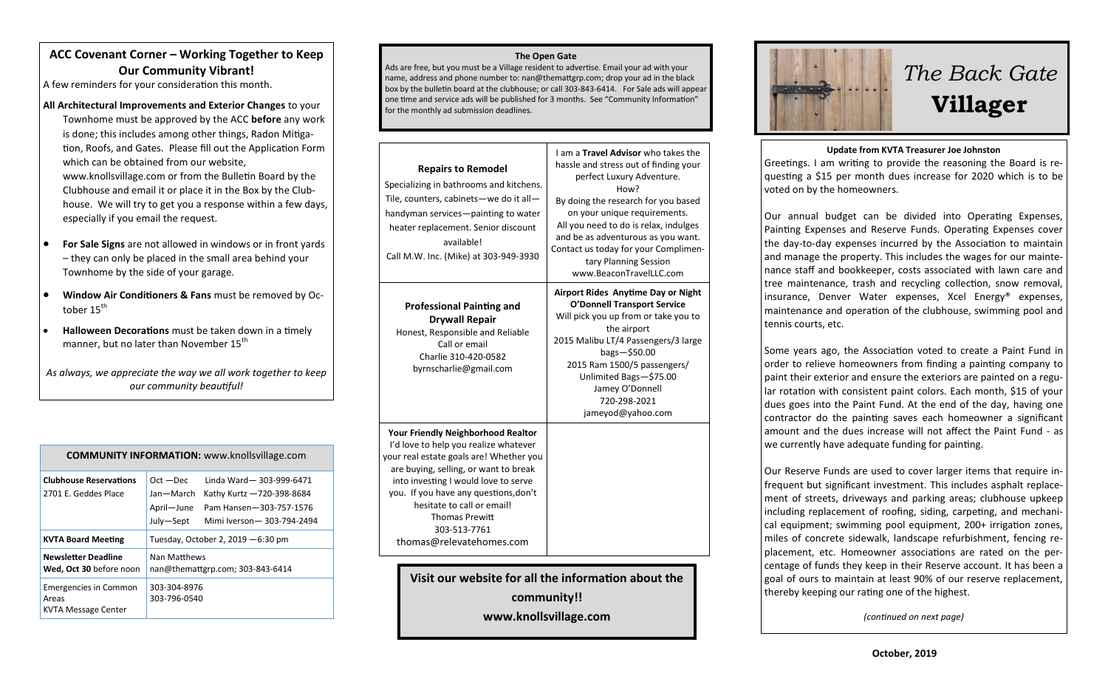## **ACC Covenant Corner – Working Together to Keep Our Community Vibrant!**

A few reminders for your consideration this month.

### **All Architectural Improvements and Exterior Changes** to your

Townhome must be approved by the ACC **before** any work is done; this includes among other things, Radon Mitigation, Roofs, and Gates. Please fill out the Application Form which can be obtained from our website, www.knollsvillage.com or from the Bulletin Board by the Clubhouse and email it or place it in the Box by the Clubhouse. We will try to get you a response within a few days, especially if you email the request.

- **For Sale Signs** are not allowed in windows or in front yards – they can only be placed in the small area behind your Townhome by the side of your garage.
- **Window Air Conditioners & Fans** must be removed by October 15<sup>th</sup>
- **Halloween Decorations** must be taken down in a timely manner, but no later than November 15th
- *As always, we appreciate the way we all work together to keep our community beautiful!*

| <b>COMMUNITY INFORMATION: www.knollsvillage.com</b>          |                                                                                                                                                                     |  |
|--------------------------------------------------------------|---------------------------------------------------------------------------------------------------------------------------------------------------------------------|--|
| <b>Clubhouse Reservations</b><br>2701 E. Geddes Place        | Linda Ward-303-999-6471<br>$Oct - Dec$<br>Jan-March<br>Kathy Kurtz -720-398-8684<br>April-June<br>Pam Hansen-303-757-1576<br>July-Sept<br>Mimi Iverson-303-794-2494 |  |
| <b>KVTA Board Meeting</b>                                    | Tuesday, October 2, 2019 - 6:30 pm                                                                                                                                  |  |
| <b>Newsletter Deadline</b><br>Wed, Oct 30 before noon        | Nan Matthews<br>nan@themattgrp.com; 303-843-6414                                                                                                                    |  |
| <b>Emergencies in Common</b><br>Areas<br>KVTA Message Center | 303-304-8976<br>303-796-0540                                                                                                                                        |  |

#### **The Open Gate**

Ads are free, but you must be a Village resident to advertise. Email your ad with your name, address and phone number to: nan@themattgrp.com; drop your ad in the black box by the bulletin board at the clubhouse; or call 303-843-6414. For Sale ads will appear one time and service ads will be published for 3 months. See "Community Information" for the monthly ad submission deadlines.

| <b>Repairs to Remodel</b><br>Specializing in bathrooms and kitchens.<br>Tile, counters, cabinets-we do it all-<br>handyman services-painting to water<br>heater replacement. Senior discount<br>available!<br>Call M.W. Inc. (Mike) at 303-949-3930                                                                                                        | I am a Travel Advisor who takes the<br>hassle and stress out of finding your<br>perfect Luxury Adventure.<br>How?<br>By doing the research for you based<br>on your unique requirements.<br>All you need to do is relax, indulges<br>and be as adventurous as you want.<br>Contact us today for your Complimen-<br>tary Planning Session<br>www.BeaconTravelLLC.com |  |
|------------------------------------------------------------------------------------------------------------------------------------------------------------------------------------------------------------------------------------------------------------------------------------------------------------------------------------------------------------|---------------------------------------------------------------------------------------------------------------------------------------------------------------------------------------------------------------------------------------------------------------------------------------------------------------------------------------------------------------------|--|
| <b>Professional Painting and</b><br><b>Drywall Repair</b><br>Honest, Responsible and Reliable<br>Call or email<br>Charlie 310-420-0582<br>byrnscharlie@gmail.com                                                                                                                                                                                           | Airport Rides Anytime Day or Night<br><b>O'Donnell Transport Service</b><br>Will pick you up from or take you to<br>the airport<br>2015 Malibu LT/4 Passengers/3 large<br>$bags - $50.00$<br>2015 Ram 1500/5 passengers/<br>Unlimited Bags-\$75.00<br>Jamey O'Donnell<br>720-298-2021<br>jameyod@yahoo.com                                                          |  |
| <b>Your Friendly Neighborhood Realtor</b><br>I'd love to help you realize whatever<br>your real estate goals are! Whether you<br>are buying, selling, or want to break<br>into investing I would love to serve<br>you. If you have any questions, don't<br>hesitate to call or email!<br><b>Thomas Prewitt</b><br>303-513-7761<br>thomas@relevatehomes.com |                                                                                                                                                                                                                                                                                                                                                                     |  |
| Visit our website for all the information about the                                                                                                                                                                                                                                                                                                        |                                                                                                                                                                                                                                                                                                                                                                     |  |

**community!! www.knollsvillage.com**





#### **Update from KVTA Treasurer Joe Johnston**

Greetings. I am writing to provide the reasoning the Board is requesting a \$15 per month dues increase for 2020 which is to be voted on by the homeowners.

Our annual budget can be divided into Operating Expenses, Painting Expenses and Reserve Funds. Operating Expenses cover the day-to-day expenses incurred by the Association to maintain and manage the property. This includes the wages for our maintenance staff and bookkeeper, costs associated with lawn care and tree maintenance, trash and recycling collection, snow removal, insurance, Denver Water expenses, Xcel Energy® expenses, maintenance and operation of the clubhouse, swimming pool and tennis courts, etc.

Some years ago, the Association voted to create a Paint Fund in order to relieve homeowners from finding a painting company to paint their exterior and ensure the exteriors are painted on a regular rotation with consistent paint colors. Each month, \$15 of your dues goes into the Paint Fund. At the end of the day, having one contractor do the painting saves each homeowner a significant amount and the dues increase will not affect the Paint Fund - as we currently have adequate funding for painting.

Our Reserve Funds are used to cover larger items that require infrequent but significant investment. This includes asphalt replacement of streets, driveways and parking areas; clubhouse upkeep including replacement of roofing, siding, carpeting, and mechanical equipment; swimming pool equipment, 200+ irrigation zones, miles of concrete sidewalk, landscape refurbishment, fencing replacement, etc. Homeowner associations are rated on the percentage of funds they keep in their Reserve account. It has been a goal of ours to maintain at least 90% of our reserve replacement, thereby keeping our rating one of the highest.

*(continued on next page)*